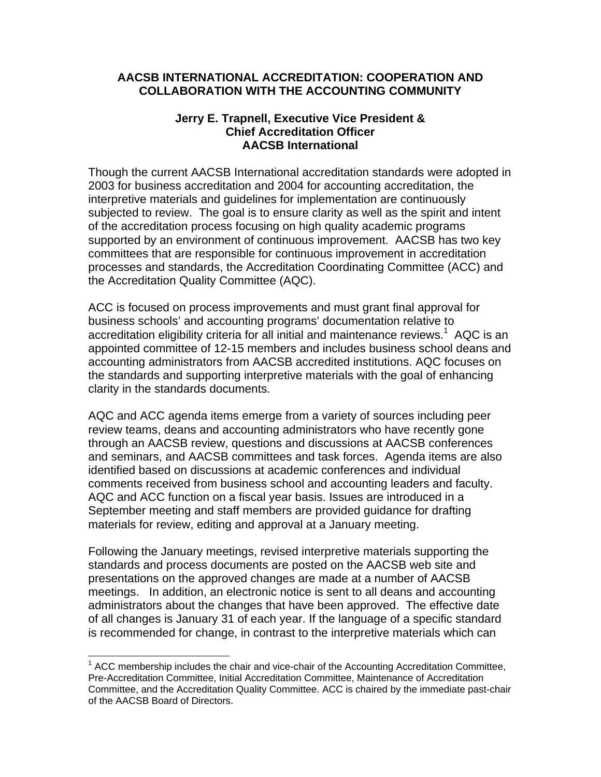## **AACSB INTERNATIONAL ACCREDITATION: COOPERATION AND COLLABORATION WITH THE ACCOUNTING COMMUNITY**

## **Jerry E. Trapnell, Executive Vice President & Chief Accreditation Officer AACSB International**

Though the current AACSB International accreditation standards were adopted in 2003 for business accreditation and 2004 for accounting accreditation, the interpretive materials and guidelines for implementation are continuously subjected to review. The goal is to ensure clarity as well as the spirit and intent of the accreditation process focusing on high quality academic programs supported by an environment of continuous improvement. AACSB has two key committees that are responsible for continuous improvement in accreditation processes and standards, the Accreditation Coordinating Committee (ACC) and the Accreditation Quality Committee (AQC).

ACC is focused on process improvements and must grant final approval for business schools' and accounting programs' documentation relative to accreditation eligibility criteria for all initial and maintenance reviews. $1$  AQC is an appointed committee of 12-15 members and includes business school deans and accounting administrators from AACSB accredited institutions. AQC focuses on the standards and supporting interpretive materials with the goal of enhancing clarity in the standards documents.

AQC and ACC agenda items emerge from a variety of sources including peer review teams, deans and accounting administrators who have recently gone through an AACSB review, questions and discussions at AACSB conferences and seminars, and AACSB committees and task forces. Agenda items are also identified based on discussions at academic conferences and individual comments received from business school and accounting leaders and faculty. AQC and ACC function on a fiscal year basis. Issues are introduced in a September meeting and staff members are provided guidance for drafting materials for review, editing and approval at a January meeting.

Following the January meetings, revised interpretive materials supporting the standards and process documents are posted on the AACSB web site and presentations on the approved changes are made at a number of AACSB meetings. In addition, an electronic notice is sent to all deans and accounting administrators about the changes that have been approved. The effective date of all changes is January 31 of each year. If the language of a specific standard is recommended for change, in contrast to the interpretive materials which can

 $\overline{a}$ 

 $1$  ACC membership includes the chair and vice-chair of the Accounting Accreditation Committee, Pre-Accreditation Committee, Initial Accreditation Committee, Maintenance of Accreditation Committee, and the Accreditation Quality Committee. ACC is chaired by the immediate past-chair of the AACSB Board of Directors.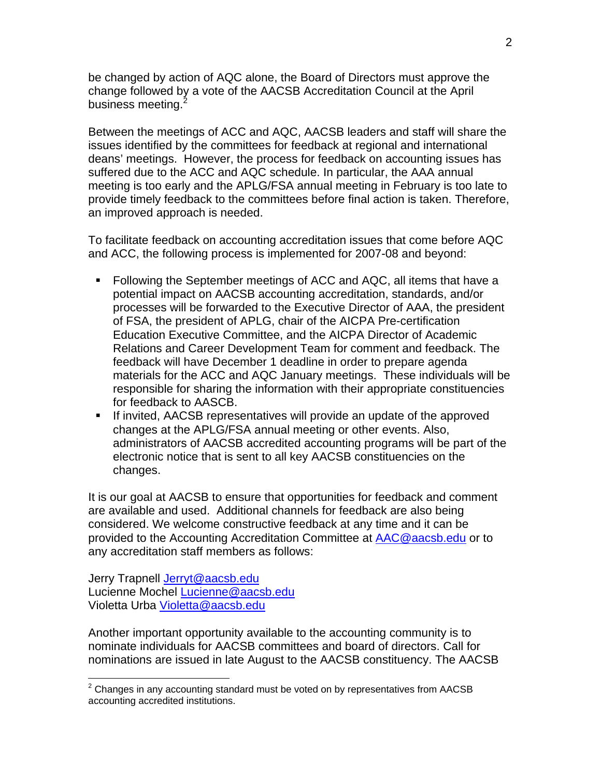be changed by action of AQC alone, the Board of Directors must approve the change followed by a vote of the AACSB Accreditation Council at the April business meeting.<sup>2</sup>

Between the meetings of ACC and AQC, AACSB leaders and staff will share the issues identified by the committees for feedback at regional and international deans' meetings. However, the process for feedback on accounting issues has suffered due to the ACC and AQC schedule. In particular, the AAA annual meeting is too early and the APLG/FSA annual meeting in February is too late to provide timely feedback to the committees before final action is taken. Therefore, an improved approach is needed.

To facilitate feedback on accounting accreditation issues that come before AQC and ACC, the following process is implemented for 2007-08 and beyond:

- Following the September meetings of ACC and AQC, all items that have a potential impact on AACSB accounting accreditation, standards, and/or processes will be forwarded to the Executive Director of AAA, the president of FSA, the president of APLG, chair of the AICPA Pre-certification Education Executive Committee, and the AICPA Director of Academic Relations and Career Development Team for comment and feedback. The feedback will have December 1 deadline in order to prepare agenda materials for the ACC and AQC January meetings. These individuals will be responsible for sharing the information with their appropriate constituencies for feedback to AASCB.
- If invited, AACSB representatives will provide an update of the approved changes at the APLG/FSA annual meeting or other events. Also, administrators of AACSB accredited accounting programs will be part of the electronic notice that is sent to all key AACSB constituencies on the changes.

It is our goal at AACSB to ensure that opportunities for feedback and comment are available and used. Additional channels for feedback are also being considered. We welcome constructive feedback at any time and it can be provided to the Accounting Accreditation Committee at AAC@aacsb.edu or to any accreditation staff members as follows:

Jerry Trapnell Jerryt@aacsb.edu Lucienne Mochel Lucienne@aacsb.edu Violetta Urba Violetta@aacsb.edu

Another important opportunity available to the accounting community is to nominate individuals for AACSB committees and board of directors. Call for nominations are issued in late August to the AACSB constituency. The AACSB

 2 Changes in any accounting standard must be voted on by representatives from AACSB accounting accredited institutions.